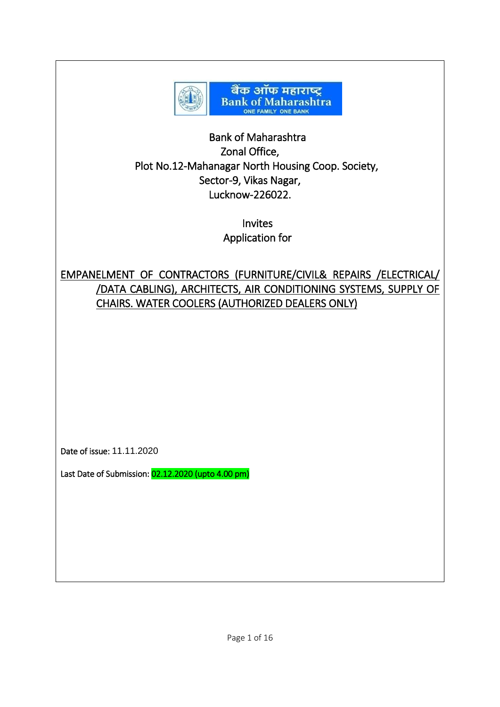

## Bank of Maharashtra Zonal Office, Plot No.12-Mahanagar North Housing Coop. Society, Sector-9, Vikas Nagar, Lucknow-226022.

Invites Application for

# EMPANELMENT OF CONTRACTORS (FURNITURE/CIVIL& REPAIRS /ELECTRICAL/ /DATA CABLING), ARCHITECTS, AIR CONDITIONING SYSTEMS, SUPPLY OF CHAIRS. WATER COOLERS (AUTHORIZED DEALERS ONLY)

Date of issue: 11.11.2020

Last Date of Submission: 02.12.2020 (upto 4.00 pm)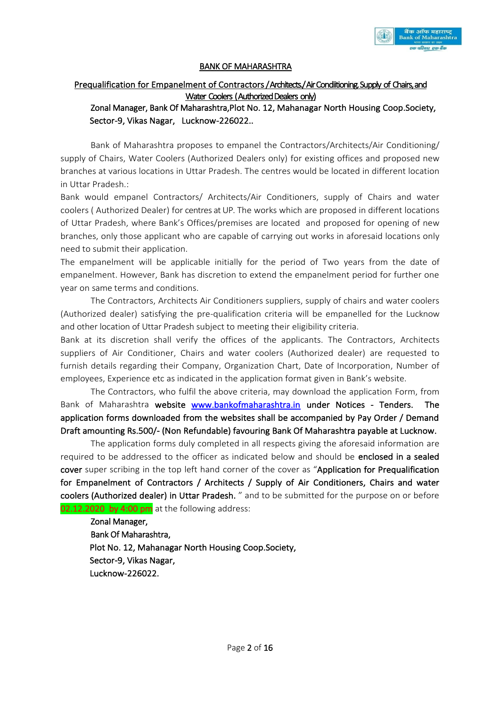

#### BANK OF MAHARASHTRA

## Prequalification for Empanelment of Contractors / Architects / Air Condiitioning. Supply of Chairs, and Water Coolers ( Authorized Dealers only)

## Zonal Manager, Bank Of Maharashtra,Plot No. 12, Mahanagar North Housing Coop.Society, Sector-9, Vikas Nagar, Lucknow-226022..

Bank of Maharashtra proposes to empanel the Contractors/Architects/Air Conditioning/ supply of Chairs, Water Coolers (Authorized Dealers only) for existing offices and proposed new branches at various locations in Uttar Pradesh. The centres would be located in different location in Uttar Pradesh.:

Bank would empanel Contractors/ Architects/Air Conditioners, supply of Chairs and water coolers ( Authorized Dealer) for centres at UP. The works which are proposed in different locations of Uttar Pradesh, where Bank's Offices/premises are located and proposed for opening of new branches, only those applicant who are capable of carrying out works in aforesaid locations only need to submit their application.

The empanelment will be applicable initially for the period of Two years from the date of empanelment. However, Bank has discretion to extend the empanelment period for further one year on same terms and conditions.

The Contractors, Architects Air Conditioners suppliers, supply of chairs and water coolers (Authorized dealer) satisfying the pre-qualification criteria will be empanelled for the Lucknow and other location of Uttar Pradesh subject to meeting their eligibility criteria.

Bank at its discretion shall verify the offices of the applicants. The Contractors, Architects suppliers of Air Conditioner, Chairs and water coolers (Authorized dealer) are requested to furnish details regarding their Company, Organization Chart, Date of Incorporation, Number of employees, Experience etc as indicated in the application format given in Bank's website.

The Contractors, who fulfil the above criteria, may download the application Form, from Bank of Maharashtra website [www.bankofmaharashtra.in](http://www.bankofmaharashtra.in/) under Notices - Tenders. The application forms downloaded from the websites shall be accompanied by Pay Order / Demand Draft amounting Rs.500/- (Non Refundable) favouring Bank Of Maharashtra payable at Lucknow.

The application forms duly completed in all respects giving the aforesaid information are required to be addressed to the officer as indicated below and should be enclosed in a sealed cover super scribing in the top left hand corner of the cover as "Application for Prequalification for Empanelment of Contractors / Architects / Supply of Air Conditioners, Chairs and water coolers (Authorized dealer) in Uttar Pradesh. " and to be submitted for the purpose on or before 02.12.2020 by 4:00  $\mu$ m at the following address:

Zonal Manager, Bank Of Maharashtra, Plot No. 12, Mahanagar North Housing Coop.Society, Sector-9, Vikas Nagar, Lucknow-226022.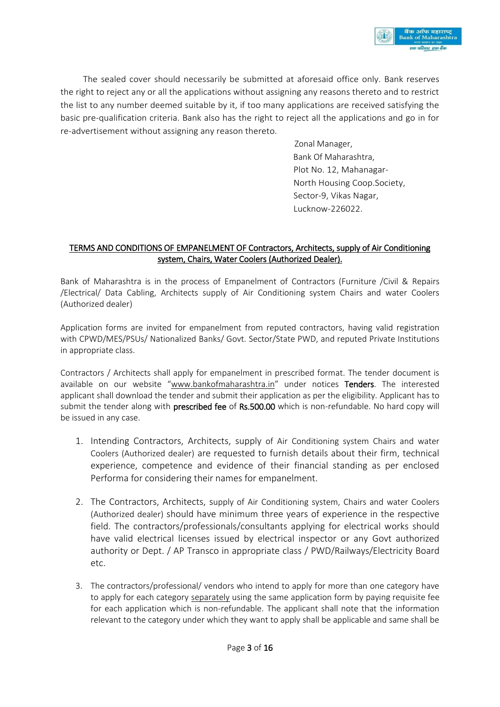

The sealed cover should necessarily be submitted at aforesaid office only. Bank reserves the right to reject any or all the applications without assigning any reasons thereto and to restrict the list to any number deemed suitable by it, if too many applications are received satisfying the basic pre-qualification criteria. Bank also has the right to reject all the applications and go in for re-advertisement without assigning any reason thereto.

> Zonal Manager, Bank Of Maharashtra, Plot No. 12, Mahanagar- North Housing Coop.Society, Sector-9, Vikas Nagar, Lucknow-226022.

#### TERMS AND CONDITIONS OF EMPANELMENT OF Contractors, Architects, supply of Air Conditioning system, Chairs, Water Coolers (Authorized Dealer).

Bank of Maharashtra is in the process of Empanelment of Contractors (Furniture /Civil & Repairs /Electrical/ Data Cabling, Architects supply of Air Conditioning system Chairs and water Coolers (Authorized dealer)

Application forms are invited for empanelment from reputed contractors, having valid registration with CPWD/MES/PSUs/ Nationalized Banks/ Govt. Sector/State PWD, and reputed Private Institutions in appropriate class.

Contractors / Architects shall apply for empanelment in prescribed format. The tender document is available on our website "[www.b](http://www.idrbt.ac.in/)ankofmaharashtra.in" under notices Tenders. The interested applicant shall download the tender and submit their application as per the eligibility. Applicant has to submit the tender along with **prescribed fee** of Rs.500.00 which is non-refundable. No hard copy will be issued in any case.

- 1. Intending Contractors, Architects, supply of Air Conditioning system Chairs and water Coolers (Authorized dealer) are requested to furnish details about their firm, technical experience, competence and evidence of their financial standing as per enclosed Performa for considering their names for empanelment.
- 2. The Contractors, Architects, supply of Air Conditioning system, Chairs and water Coolers (Authorized dealer) should have minimum three years of experience in the respective field. The contractors/professionals/consultants applying for electrical works should have valid electrical licenses issued by electrical inspector or any Govt authorized authority or Dept. / AP Transco in appropriate class / PWD/Railways/Electricity Board etc.
- 3. The contractors/professional/ vendors who intend to apply for more than one category have to apply for each category separately using the same application form by paying requisite fee for each application which is non-refundable. The applicant shall note that the information relevant to the category under which they want to apply shall be applicable and same shall be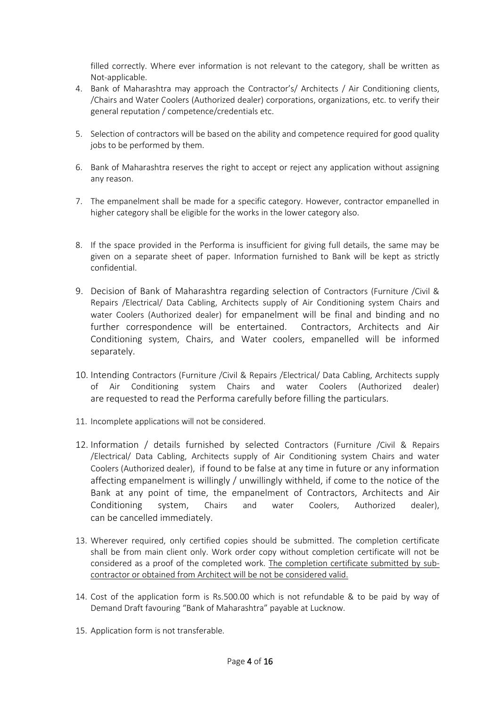filled correctly. Where ever information is not relevant to the category, shall be written as Not-applicable.

- 4. Bank of Maharashtra may approach the Contractor's/ Architects / Air Conditioning clients, /Chairs and Water Coolers (Authorized dealer) corporations, organizations, etc. to verify their general reputation / competence/credentials etc.
- 5. Selection of contractors will be based on the ability and competence required for good quality jobs to be performed by them.
- 6. Bank of Maharashtra reserves the right to accept or reject any application without assigning any reason.
- 7. The empanelment shall be made for a specific category. However, contractor empanelled in higher category shall be eligible for the works in the lower category also.
- 8. If the space provided in the Performa is insufficient for giving full details, the same may be given on a separate sheet of paper. Information furnished to Bank will be kept as strictly confidential.
- 9. Decision of Bank of Maharashtra regarding selection of Contractors (Furniture /Civil & Repairs /Electrical/ Data Cabling, Architects supply of Air Conditioning system Chairs and water Coolers (Authorized dealer) for empanelment will be final and binding and no further correspondence will be entertained. Contractors, Architects and Air Conditioning system, Chairs, and Water coolers, empanelled will be informed separately.
- 10. Intending Contractors (Furniture /Civil & Repairs /Electrical/ Data Cabling, Architects supply of Air Conditioning system Chairs and water Coolers (Authorized dealer) are requested to read the Performa carefully before filling the particulars.
- 11. Incomplete applications will not be considered.
- 12. Information / details furnished by selected Contractors (Furniture /Civil & Repairs /Electrical/ Data Cabling, Architects supply of Air Conditioning system Chairs and water Coolers (Authorized dealer), if found to be false at any time in future or any information affecting empanelment is willingly / unwillingly withheld, if come to the notice of the Bank at any point of time, the empanelment of Contractors, Architects and Air Conditioning system, Chairs and water Coolers, Authorized dealer), can be cancelled immediately.
- 13. Wherever required, only certified copies should be submitted. The completion certificate shall be from main client only. Work order copy without completion certificate will not be considered as a proof of the completed work. The completion certificate submitted by subcontractor or obtained from Architect will be not be considered valid.
- 14. Cost of the application form is Rs.500.00 which is not refundable & to be paid by way of Demand Draft favouring "Bank of Maharashtra" payable at Lucknow.
- 15. Application form is not transferable.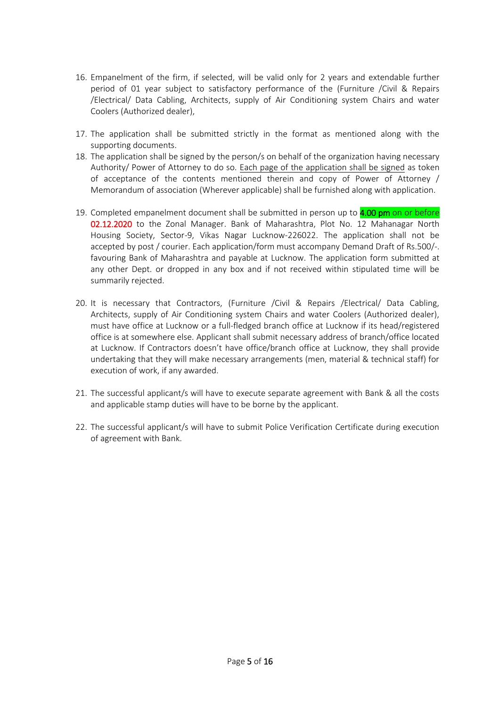- 16. Empanelment of the firm, if selected, will be valid only for 2 years and extendable further period of 01 year subject to satisfactory performance of the (Furniture /Civil & Repairs /Electrical/ Data Cabling, Architects, supply of Air Conditioning system Chairs and water Coolers (Authorized dealer),
- 17. The application shall be submitted strictly in the format as mentioned along with the supporting documents.
- 18. The application shall be signed by the person/s on behalf of the organization having necessary Authority/ Power of Attorney to do so. Each page of the application shall be signed as token of acceptance of the contents mentioned therein and copy of Power of Attorney / Memorandum of association (Wherever applicable) shall be furnished along with application.
- 19. Completed empanelment document shall be submitted in person up to **4.00 pm** on or before 02.12.2020 to the Zonal Manager. Bank of Maharashtra, Plot No. 12 Mahanagar North Housing Society, Sector-9, Vikas Nagar Lucknow-226022. The application shall not be accepted by post / courier. Each application/form must accompany Demand Draft of Rs.500/-. favouring Bank of Maharashtra and payable at Lucknow. The application form submitted at any other Dept. or dropped in any box and if not received within stipulated time will be summarily rejected.
- 20. It is necessary that Contractors, (Furniture /Civil & Repairs /Electrical/ Data Cabling, Architects, supply of Air Conditioning system Chairs and water Coolers (Authorized dealer), must have office at Lucknow or a full-fledged branch office at Lucknow if its head/registered office is at somewhere else. Applicant shall submit necessary address of branch/office located at Lucknow. If Contractors doesn't have office/branch office at Lucknow, they shall provide undertaking that they will make necessary arrangements (men, material & technical staff) for execution of work, if any awarded.
- 21. The successful applicant/s will have to execute separate agreement with Bank & all the costs and applicable stamp duties will have to be borne by the applicant.
- 22. The successful applicant/s will have to submit Police Verification Certificate during execution of agreement with Bank.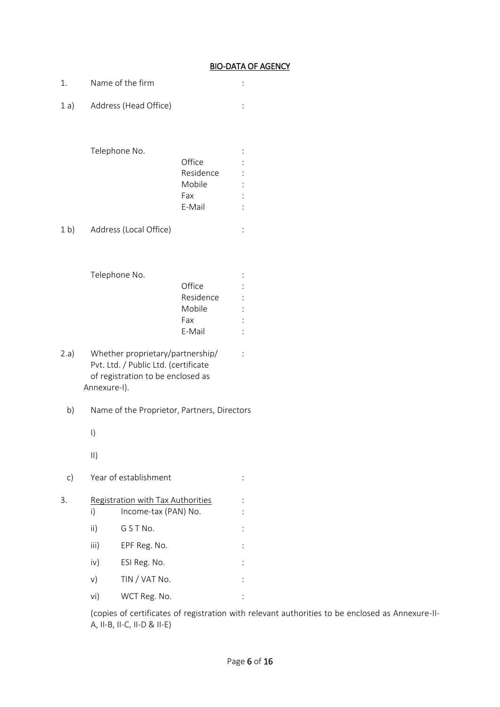## BIO-DATA OF AGENCY

| 1.             |               | Name of the firm                                                                                              |                     |  |
|----------------|---------------|---------------------------------------------------------------------------------------------------------------|---------------------|--|
| 1a)            |               | Address (Head Office)                                                                                         |                     |  |
|                |               |                                                                                                               |                     |  |
|                |               |                                                                                                               |                     |  |
|                |               | Telephone No.                                                                                                 | Office              |  |
|                |               |                                                                                                               | Residence           |  |
|                |               |                                                                                                               | Mobile              |  |
|                |               |                                                                                                               | Fax<br>E-Mail       |  |
|                |               |                                                                                                               |                     |  |
| 1 <sub>b</sub> |               | Address (Local Office)                                                                                        |                     |  |
|                |               |                                                                                                               |                     |  |
|                |               |                                                                                                               |                     |  |
|                |               | Telephone No.                                                                                                 |                     |  |
|                |               |                                                                                                               | Office<br>Residence |  |
|                |               |                                                                                                               | Mobile              |  |
|                |               |                                                                                                               | Fax                 |  |
|                |               |                                                                                                               | E-Mail              |  |
| 2.a)           | Annexure-I).  | Whether proprietary/partnership/<br>Pvt. Ltd. / Public Ltd. (certificate<br>of registration to be enclosed as |                     |  |
| b)             |               | Name of the Proprietor, Partners, Directors                                                                   |                     |  |
|                | $\vert$ )     |                                                                                                               |                     |  |
|                | $\vert \vert$ |                                                                                                               |                     |  |
| $\mathsf{c})$  |               | Year of establishment                                                                                         |                     |  |
| 3.             |               | Registration with Tax Authorities                                                                             |                     |  |
|                | i)            | Income-tax (PAN) No.                                                                                          |                     |  |
|                | $\mathsf{ii}$ | G S T No.                                                                                                     |                     |  |
|                | iii)          | EPF Reg. No.                                                                                                  |                     |  |
|                | iv)           | ESI Reg. No.                                                                                                  |                     |  |
|                | V)            | TIN / VAT No.                                                                                                 |                     |  |
|                | vi)           | WCT Reg. No.                                                                                                  |                     |  |

(copies of certificates of registration with relevant authorities to be enclosed as Annexure-II-A, II-B, II-C, II-D & II-E)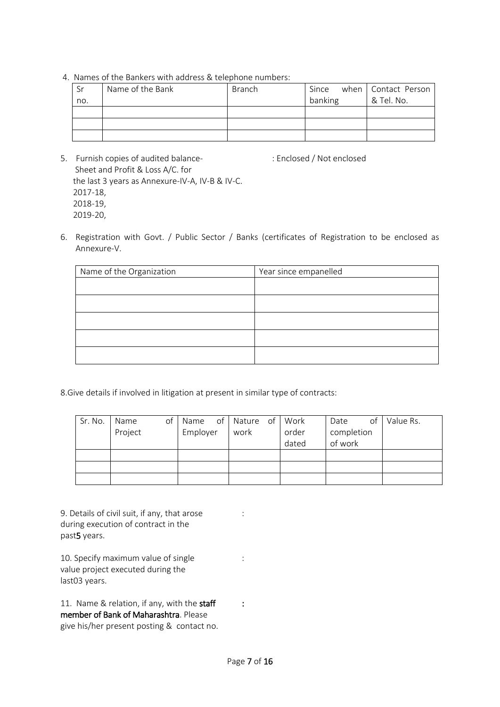4. Names of the Bankers with address & telephone numbers:

| Sr  | Name of the Bank | <b>Branch</b> | Since   | when Contact Person |
|-----|------------------|---------------|---------|---------------------|
| no. |                  |               | banking | & Tel. No.          |
|     |                  |               |         |                     |
|     |                  |               |         |                     |
|     |                  |               |         |                     |

- 5. Furnish copies of audited balance-<br>
: Enclosed / Not enclosed Sheet and Profit & Loss A/C. for the last 3 years as Annexure-IV-A, IV-B & IV-C. 2017-18, 2018-19, 2019-20,
- 6. Registration with Govt. / Public Sector / Banks (certificates of Registration to be enclosed as Annexure-V.

| Name of the Organization | Year since empanelled |
|--------------------------|-----------------------|
|                          |                       |
|                          |                       |
|                          |                       |
|                          |                       |
|                          |                       |

8.Give details if involved in litigation at present in similar type of contracts:

| Sr. No. | Name<br>Project | of | Name<br>Employer | of Nature of<br>work | Work<br>order<br>dated | of<br>Date<br>completion<br>of work | Value Rs. |
|---------|-----------------|----|------------------|----------------------|------------------------|-------------------------------------|-----------|
|         |                 |    |                  |                      |                        |                                     |           |
|         |                 |    |                  |                      |                        |                                     |           |
|         |                 |    |                  |                      |                        |                                     |           |

9. Details of civil suit, if any, that arose : during execution of contract in the past5 years.

10. Specify maximum value of single : value project executed during the last03 years.

11. Name & relation, if any, with the staff : member of Bank of Maharashtra. Please give his/her present posting & contact no.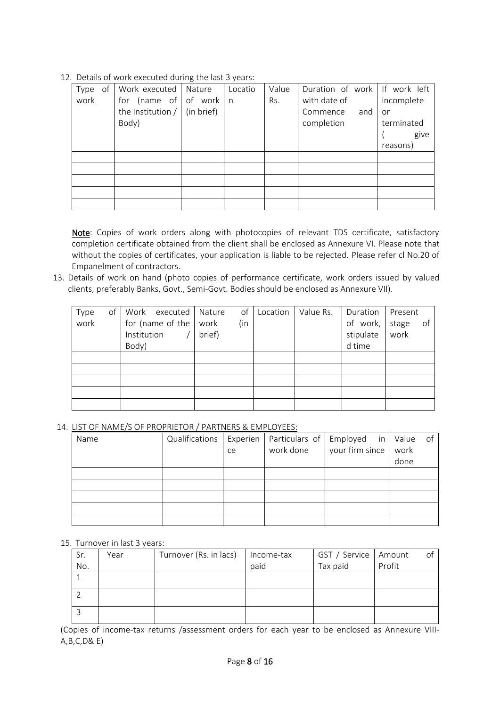12. Details of work executed during the last 3 years:

| of<br>Type | Work executed   Nature         | Locatio | Value | Duration of work If work left |            |
|------------|--------------------------------|---------|-------|-------------------------------|------------|
| work       | for (name of of work   n       |         | Rs.   | with date of                  | incomplete |
|            | the Institution $/$ (in brief) |         |       | Commence<br>and               | or         |
|            | Body)                          |         |       | completion                    | terminated |
|            |                                |         |       |                               | give       |
|            |                                |         |       |                               | reasons)   |
|            |                                |         |       |                               |            |
|            |                                |         |       |                               |            |
|            |                                |         |       |                               |            |
|            |                                |         |       |                               |            |
|            |                                |         |       |                               |            |

Note: Copies of work orders along with photocopies of relevant TDS certificate, satisfactory completion certificate obtained from the client shall be enclosed as Annexure VI. Please note that without the copies of certificates, your application is liable to be rejected. Please refer cl No.20 of Empanelment of contractors.

13. Details of work on hand (photo copies of performance certificate, work orders issued by valued clients, preferably Banks, Govt., Semi-Govt. Bodies should be enclosed as Annexure VII).

| Type<br>work | of | Institution<br>Body) | Work executed<br>for (name of the   work | Nature<br>brief) | of<br>(in | Location | Value Rs. | Duration<br>of work,<br>stipulate<br>d time | Present<br>stage<br>work | of |
|--------------|----|----------------------|------------------------------------------|------------------|-----------|----------|-----------|---------------------------------------------|--------------------------|----|
|              |    |                      |                                          |                  |           |          |           |                                             |                          |    |
|              |    |                      |                                          |                  |           |          |           |                                             |                          |    |
|              |    |                      |                                          |                  |           |          |           |                                             |                          |    |
|              |    |                      |                                          |                  |           |          |           |                                             |                          |    |
|              |    |                      |                                          |                  |           |          |           |                                             |                          |    |

14. LIST OF NAME/S OF PROPRIETOR / PARTNERS & EMPLOYEES:

| Name | Qualifications   Experien |    | Particulars of | Employed in Value of |      |  |
|------|---------------------------|----|----------------|----------------------|------|--|
|      |                           | ce | work done      | your firm since      | work |  |
|      |                           |    |                |                      | done |  |
|      |                           |    |                |                      |      |  |
|      |                           |    |                |                      |      |  |
|      |                           |    |                |                      |      |  |
|      |                           |    |                |                      |      |  |
|      |                           |    |                |                      |      |  |

15. Turnover in last 3 years:

| Sr. | Year | Turnover (Rs. in lacs) | Income-tax | GST / Service   Amount |        | of |
|-----|------|------------------------|------------|------------------------|--------|----|
| No. |      |                        | paid       | Tax paid               | Profit |    |
|     |      |                        |            |                        |        |    |
|     |      |                        |            |                        |        |    |
|     |      |                        |            |                        |        |    |

(Copies of income-tax returns /assessment orders for each year to be enclosed as Annexure VIII-A,B,C,D& E)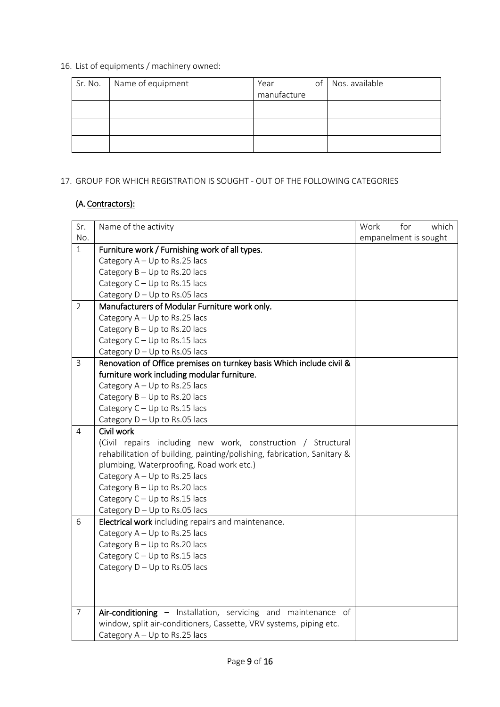16. List of equipments / machinery owned:

| Name of equipment | Year        | of | Nos. available |
|-------------------|-------------|----|----------------|
|                   | manufacture |    |                |
|                   |             |    |                |
|                   |             |    |                |
|                   |             |    |                |
|                   |             |    |                |
|                   |             |    |                |

## 17. GROUP FOR WHICH REGISTRATION IS SOUGHT - OUT OF THE FOLLOWING CATEGORIES

## (A. Contractors):

| Sr.            | Name of the activity                                                    | Work                  | for | which |
|----------------|-------------------------------------------------------------------------|-----------------------|-----|-------|
| No.            |                                                                         | empanelment is sought |     |       |
| $\mathbf{1}$   | Furniture work / Furnishing work of all types.                          |                       |     |       |
|                | Category $A - Up$ to Rs.25 lacs                                         |                       |     |       |
|                | Category $B - Up$ to Rs.20 lacs                                         |                       |     |       |
|                | Category $C - Up$ to Rs.15 lacs                                         |                       |     |       |
|                | Category $D - Up$ to Rs.05 lacs                                         |                       |     |       |
| $\overline{2}$ | Manufacturers of Modular Furniture work only.                           |                       |     |       |
|                | Category $A - Up$ to Rs.25 lacs                                         |                       |     |       |
|                | Category B - Up to Rs.20 lacs                                           |                       |     |       |
|                | Category C - Up to Rs.15 lacs                                           |                       |     |       |
|                | Category $D - Up$ to Rs.05 lacs                                         |                       |     |       |
| $\overline{3}$ | Renovation of Office premises on turnkey basis Which include civil &    |                       |     |       |
|                | furniture work including modular furniture.                             |                       |     |       |
|                | Category $A - Up$ to Rs.25 lacs                                         |                       |     |       |
|                | Category $B - Up$ to Rs.20 lacs                                         |                       |     |       |
|                | Category $C - Up$ to Rs.15 lacs                                         |                       |     |       |
|                | Category $D - Up$ to Rs.05 lacs                                         |                       |     |       |
| 4              | Civil work                                                              |                       |     |       |
|                | (Civil repairs including new work, construction / Structural            |                       |     |       |
|                | rehabilitation of building, painting/polishing, fabrication, Sanitary & |                       |     |       |
|                | plumbing, Waterproofing, Road work etc.)                                |                       |     |       |
|                | Category $A - Up$ to Rs.25 lacs                                         |                       |     |       |
|                | Category $B - Up$ to Rs.20 lacs                                         |                       |     |       |
|                | Category C - Up to Rs.15 lacs                                           |                       |     |       |
|                | Category $D - Up$ to Rs.05 lacs                                         |                       |     |       |
| 6              | Electrical work including repairs and maintenance.                      |                       |     |       |
|                | Category $A - Up$ to Rs.25 lacs                                         |                       |     |       |
|                | Category $B - Up$ to Rs.20 lacs                                         |                       |     |       |
|                | Category $C - Up$ to Rs.15 lacs                                         |                       |     |       |
|                | Category $D - Up$ to Rs.05 lacs                                         |                       |     |       |
|                |                                                                         |                       |     |       |
|                |                                                                         |                       |     |       |
| $\overline{7}$ | Air-conditioning - Installation, servicing and maintenance of           |                       |     |       |
|                | window, split air-conditioners, Cassette, VRV systems, piping etc.      |                       |     |       |
|                | Category A - Up to Rs.25 lacs                                           |                       |     |       |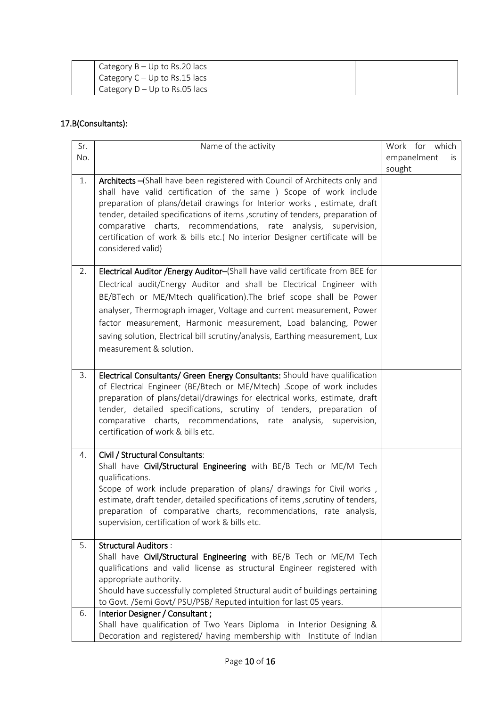| Category $B - Up$ to Rs.20 lacs |  |
|---------------------------------|--|
| Category $C - Up$ to Rs.15 lacs |  |
| Category $D - Up$ to Rs.05 lacs |  |

## 17.B(Consultants):

| Sr. | Name of the activity                                                                                                                                                                                                                                                                                                                                                                                                                                                                     | Work for which     |
|-----|------------------------------------------------------------------------------------------------------------------------------------------------------------------------------------------------------------------------------------------------------------------------------------------------------------------------------------------------------------------------------------------------------------------------------------------------------------------------------------------|--------------------|
| No. |                                                                                                                                                                                                                                                                                                                                                                                                                                                                                          | empanelment<br>İS. |
|     |                                                                                                                                                                                                                                                                                                                                                                                                                                                                                          | sought             |
| 1.  | Architects - (Shall have been registered with Council of Architects only and<br>shall have valid certification of the same ) Scope of work include<br>preparation of plans/detail drawings for Interior works, estimate, draft<br>tender, detailed specifications of items, scrutiny of tenders, preparation of<br>comparative charts, recommendations, rate analysis, supervision,<br>certification of work & bills etc.( No interior Designer certificate will be<br>considered valid) |                    |
| 2.  | Electrical Auditor /Energy Auditor-(Shall have valid certificate from BEE for                                                                                                                                                                                                                                                                                                                                                                                                            |                    |
|     | Electrical audit/Energy Auditor and shall be Electrical Engineer with                                                                                                                                                                                                                                                                                                                                                                                                                    |                    |
|     | BE/BTech or ME/Mtech qualification). The brief scope shall be Power                                                                                                                                                                                                                                                                                                                                                                                                                      |                    |
|     | analyser, Thermograph imager, Voltage and current measurement, Power                                                                                                                                                                                                                                                                                                                                                                                                                     |                    |
|     | factor measurement, Harmonic measurement, Load balancing, Power                                                                                                                                                                                                                                                                                                                                                                                                                          |                    |
|     | saving solution, Electrical bill scrutiny/analysis, Earthing measurement, Lux                                                                                                                                                                                                                                                                                                                                                                                                            |                    |
|     | measurement & solution.                                                                                                                                                                                                                                                                                                                                                                                                                                                                  |                    |
|     |                                                                                                                                                                                                                                                                                                                                                                                                                                                                                          |                    |
| 3.  | Electrical Consultants/ Green Energy Consultants: Should have qualification<br>of Electrical Engineer (BE/Btech or ME/Mtech) .Scope of work includes<br>preparation of plans/detail/drawings for electrical works, estimate, draft<br>tender, detailed specifications, scrutiny of tenders, preparation of<br>comparative charts, recommendations, rate analysis, supervision,<br>certification of work & bills etc.                                                                     |                    |
| 4.  | Civil / Structural Consultants:                                                                                                                                                                                                                                                                                                                                                                                                                                                          |                    |
|     | Shall have Civil/Structural Engineering with BE/B Tech or ME/M Tech<br>qualifications.                                                                                                                                                                                                                                                                                                                                                                                                   |                    |
|     | Scope of work include preparation of plans/ drawings for Civil works,                                                                                                                                                                                                                                                                                                                                                                                                                    |                    |
|     | estimate, draft tender, detailed specifications of items, scrutiny of tenders,                                                                                                                                                                                                                                                                                                                                                                                                           |                    |
|     | preparation of comparative charts, recommendations, rate analysis,                                                                                                                                                                                                                                                                                                                                                                                                                       |                    |
|     | supervision, certification of work & bills etc.                                                                                                                                                                                                                                                                                                                                                                                                                                          |                    |
| 5.  | <b>Structural Auditors:</b>                                                                                                                                                                                                                                                                                                                                                                                                                                                              |                    |
|     | Shall have Civil/Structural Engineering with BE/B Tech or ME/M Tech                                                                                                                                                                                                                                                                                                                                                                                                                      |                    |
|     | qualifications and valid license as structural Engineer registered with                                                                                                                                                                                                                                                                                                                                                                                                                  |                    |
|     | appropriate authority.<br>Should have successfully completed Structural audit of buildings pertaining                                                                                                                                                                                                                                                                                                                                                                                    |                    |
|     | to Govt. /Semi Govt/ PSU/PSB/ Reputed intuition for last 05 years.                                                                                                                                                                                                                                                                                                                                                                                                                       |                    |
| 6.  | Interior Designer / Consultant;                                                                                                                                                                                                                                                                                                                                                                                                                                                          |                    |
|     | Shall have qualification of Two Years Diploma in Interior Designing &                                                                                                                                                                                                                                                                                                                                                                                                                    |                    |
|     | Decoration and registered/ having membership with Institute of Indian                                                                                                                                                                                                                                                                                                                                                                                                                    |                    |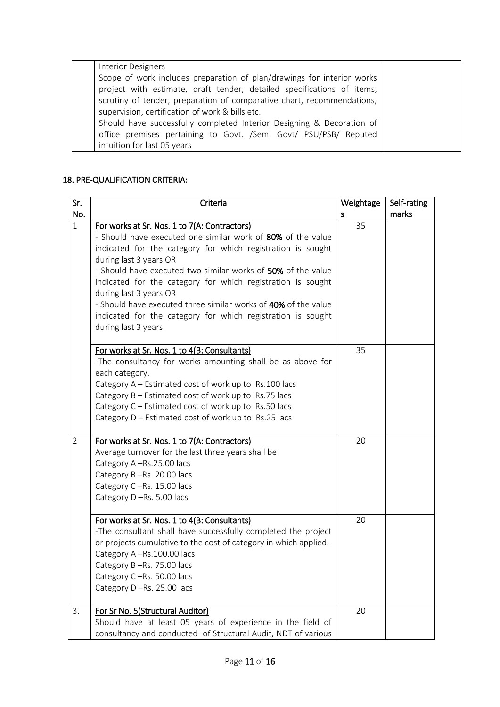| <b>Interior Designers</b>                                              |  |
|------------------------------------------------------------------------|--|
| Scope of work includes preparation of plan/drawings for interior works |  |
| project with estimate, draft tender, detailed specifications of items, |  |
| scrutiny of tender, preparation of comparative chart, recommendations, |  |
| supervision, certification of work & bills etc.                        |  |
| Should have successfully completed Interior Designing & Decoration of  |  |
| office premises pertaining to Govt. /Semi Govt/ PSU/PSB/ Reputed       |  |
| intuition for last 05 years                                            |  |
|                                                                        |  |

#### 18. PRE-QUALIFICATION CRITERIA:

| Sr.            | Criteria                                                                                                                                                                                                                                                                                                                                                                                                                        | Weightage | Self-rating |
|----------------|---------------------------------------------------------------------------------------------------------------------------------------------------------------------------------------------------------------------------------------------------------------------------------------------------------------------------------------------------------------------------------------------------------------------------------|-----------|-------------|
| No.            |                                                                                                                                                                                                                                                                                                                                                                                                                                 | s         | marks       |
| $\mathbf{1}$   | For works at Sr. Nos. 1 to 7(A: Contractors)<br>- Should have executed one similar work of 80% of the value<br>indicated for the category for which registration is sought<br>during last 3 years OR<br>- Should have executed two similar works of 50% of the value<br>indicated for the category for which registration is sought<br>during last 3 years OR<br>- Should have executed three similar works of 40% of the value | 35        |             |
|                | indicated for the category for which registration is sought<br>during last 3 years                                                                                                                                                                                                                                                                                                                                              |           |             |
|                | For works at Sr. Nos. 1 to 4(B: Consultants)<br>-The consultancy for works amounting shall be as above for<br>each category.<br>Category A - Estimated cost of work up to Rs.100 lacs<br>Category B - Estimated cost of work up to Rs.75 lacs<br>Category C - Estimated cost of work up to Rs.50 lacs<br>Category D - Estimated cost of work up to Rs.25 lacs                                                                   | 35        |             |
| $\overline{2}$ | For works at Sr. Nos. 1 to 7(A: Contractors)<br>Average turnover for the last three years shall be<br>Category A-Rs.25.00 lacs<br>Category B-Rs. 20.00 lacs<br>Category C-Rs. 15.00 lacs<br>Category D-Rs. 5.00 lacs                                                                                                                                                                                                            | 20        |             |
|                | For works at Sr. Nos. 1 to 4(B: Consultants)<br>-The consultant shall have successfully completed the project<br>or projects cumulative to the cost of category in which applied.<br>Category A-Rs.100.00 lacs<br>Category B-Rs. 75.00 lacs<br>Category C-Rs. 50.00 lacs<br>Category D-Rs. 25.00 lacs                                                                                                                           | 20        |             |
| 3.             | For Sr No. 5(Structural Auditor)<br>Should have at least 05 years of experience in the field of<br>consultancy and conducted of Structural Audit, NDT of various                                                                                                                                                                                                                                                                | 20        |             |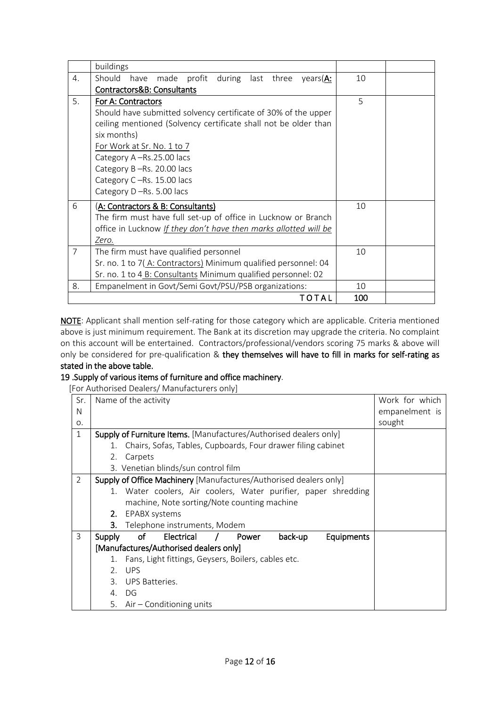|                | buildings                                                        |     |  |
|----------------|------------------------------------------------------------------|-----|--|
| 4.             | Should<br>have<br>made profit during last three years(A:         | 10  |  |
|                | Contractors&B: Consultants                                       |     |  |
| 5.             | For A: Contractors                                               | 5   |  |
|                | Should have submitted solvency certificate of 30% of the upper   |     |  |
|                | ceiling mentioned (Solvency certificate shall not be older than  |     |  |
|                | six months)                                                      |     |  |
|                | For Work at Sr. No. 1 to 7                                       |     |  |
|                | Category A-Rs.25.00 lacs                                         |     |  |
|                | Category B-Rs. 20.00 lacs                                        |     |  |
|                | Category C-Rs. 15.00 lacs                                        |     |  |
|                | Category D-Rs. 5.00 lacs                                         |     |  |
| 6              | (A: Contractors & B: Consultants)                                | 10  |  |
|                | The firm must have full set-up of office in Lucknow or Branch    |     |  |
|                | office in Lucknow If they don't have then marks allotted will be |     |  |
|                | Zero.                                                            |     |  |
| $\overline{7}$ | The firm must have qualified personnel                           | 10  |  |
|                | Sr. no. 1 to 7(A: Contractors) Minimum qualified personnel: 04   |     |  |
|                | Sr. no. 1 to 4 B: Consultants Minimum qualified personnel: 02    |     |  |
| 8.             | Empanelment in Govt/Semi Govt/PSU/PSB organizations:             | 10  |  |
|                | TOTAL                                                            | 100 |  |

NOTE: Applicant shall mention self-rating for those category which are applicable. Criteria mentioned above is just minimum requirement. The Bank at its discretion may upgrade the criteria. No complaint on this account will be entertained. Contractors/professional/vendors scoring 75 marks & above will only be considered for pre-qualification & they themselves will have to fill in marks for self-rating as stated in the above table.

#### 19 .Supply of various items of furniture and office machinery.

[For Authorised Dealers/ Manufacturers only]

| Sr. |                                                                | Name of the activity                                                     | Work for which |
|-----|----------------------------------------------------------------|--------------------------------------------------------------------------|----------------|
| N   |                                                                |                                                                          | empanelment is |
| Ο.  |                                                                |                                                                          | sought         |
| 1   |                                                                | <b>Supply of Furniture Items.</b> [Manufactures/Authorised dealers only] |                |
|     | 1.                                                             | Chairs, Sofas, Tables, Cupboards, Four drawer filing cabinet             |                |
|     | 2.                                                             | Carpets                                                                  |                |
|     |                                                                | 3. Venetian blinds/sun control film                                      |                |
| 2   |                                                                | Supply of Office Machinery [Manufactures/Authorised dealers only]        |                |
|     | 1. Water coolers, Air coolers, Water purifier, paper shredding |                                                                          |                |
|     |                                                                | machine, Note sorting/Note counting machine                              |                |
|     | 2.                                                             | EPABX systems                                                            |                |
|     | 3.                                                             | Telephone instruments, Modem                                             |                |
| 3   | Supply                                                         | of<br>Electrical<br>back-up<br>Equipments<br>Power                       |                |
|     | [Manufactures/Authorised dealers only]                         |                                                                          |                |
|     | 1.                                                             | Fans, Light fittings, Geysers, Boilers, cables etc.                      |                |
|     | 2 <sub>1</sub>                                                 | <b>UPS</b>                                                               |                |
|     | $\mathcal{E}$                                                  | UPS Batteries.                                                           |                |
|     | 4.                                                             | DG                                                                       |                |
|     |                                                                | 5. Air – Conditioning units                                              |                |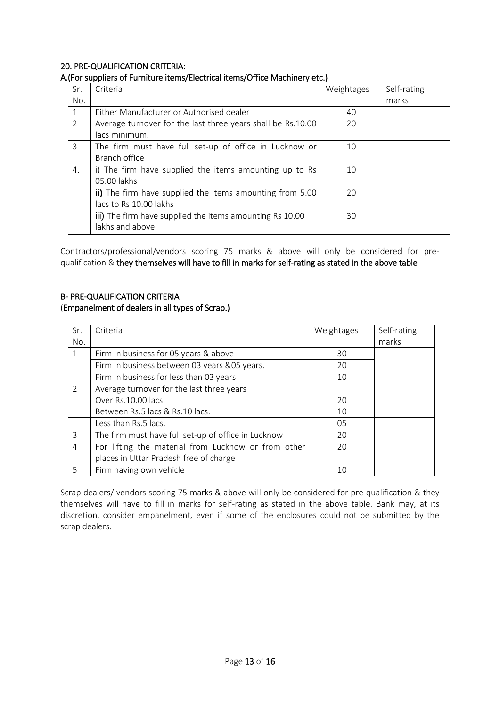#### 20. PRE-QUALIFICATION CRITERIA:

#### A.(For suppliers of Furniture items/Electrical items/Office Machinery etc.)

| Sr.           | Criteria                                                    | Weightages | Self-rating |
|---------------|-------------------------------------------------------------|------------|-------------|
| No.           |                                                             |            | marks       |
|               | Either Manufacturer or Authorised dealer                    | 40         |             |
| $\mathcal{P}$ | Average turnover for the last three years shall be Rs.10.00 | 20         |             |
|               | lacs minimum.                                               |            |             |
| 3             | The firm must have full set-up of office in Lucknow or      | 10         |             |
|               | Branch office                                               |            |             |
| 4.            | i) The firm have supplied the items amounting up to Rs      | 10         |             |
|               | 05.00 lakhs                                                 |            |             |
|               | ii) The firm have supplied the items amounting from 5.00    | 20         |             |
|               | lacs to Rs 10.00 lakhs                                      |            |             |
|               | iii) The firm have supplied the items amounting Rs 10.00    | 30         |             |
|               | lakhs and above                                             |            |             |

Contractors/professional/vendors scoring 75 marks & above will only be considered for prequalification & they themselves will have to fill in marks for self-rating as stated in the above table

## B- PRE-QUALIFICATION CRITERIA (Empanelment of dealers in all types of Scrap.)

| Sr.            | Criteria                                            | Weightages | Self-rating |
|----------------|-----------------------------------------------------|------------|-------------|
| No.            |                                                     |            | marks       |
| 1              | Firm in business for 05 years & above               | 30         |             |
|                | Firm in business between 03 years & 05 years.       | 20         |             |
|                | Firm in business for less than 03 years             | 10         |             |
| $\mathcal{P}$  | Average turnover for the last three years           |            |             |
|                | Over Rs.10.00 lacs                                  | 20         |             |
|                | Between Rs.5 lacs & Rs.10 lacs.                     | 10         |             |
|                | Less than Rs.5 lacs.                                | 05         |             |
| 3              | The firm must have full set-up of office in Lucknow | 20         |             |
| $\overline{4}$ | For lifting the material from Lucknow or from other | 20         |             |
|                | places in Uttar Pradesh free of charge              |            |             |
| 5              | Firm having own vehicle                             | 10         |             |

Scrap dealers/ vendors scoring 75 marks & above will only be considered for pre-qualification & they themselves will have to fill in marks for self-rating as stated in the above table. Bank may, at its discretion, consider empanelment, even if some of the enclosures could not be submitted by the scrap dealers.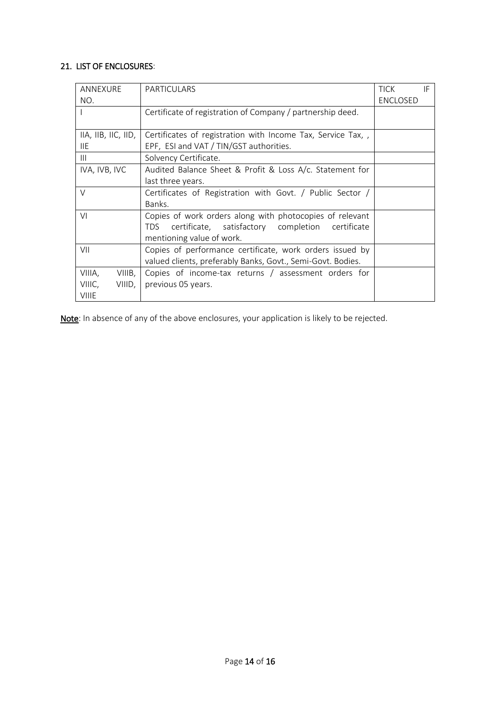## 21. LIST OF ENCLOSURES:

| ANNEXURE                                                            | <b>PARTICULARS</b>                                          | <b>TICK</b>     | IF |
|---------------------------------------------------------------------|-------------------------------------------------------------|-----------------|----|
| NO.                                                                 |                                                             | <b>ENCLOSED</b> |    |
|                                                                     | Certificate of registration of Company / partnership deed.  |                 |    |
|                                                                     |                                                             |                 |    |
| IIA, IIB, IIC, IID,                                                 | Certificates of registration with Income Tax, Service Tax,  |                 |    |
| <b>IIE</b>                                                          | EPF, ESI and VAT / TIN/GST authorities.                     |                 |    |
| Ш                                                                   | Solvency Certificate.                                       |                 |    |
| IVA, IVB, IVC                                                       | Audited Balance Sheet & Profit & Loss A/c. Statement for    |                 |    |
|                                                                     | last three years.                                           |                 |    |
| $\vee$<br>Certificates of Registration with Govt. / Public Sector / |                                                             |                 |    |
|                                                                     | Banks.                                                      |                 |    |
| VI                                                                  | Copies of work orders along with photocopies of relevant    |                 |    |
|                                                                     | certificate, satisfactory completion certificate<br>TDS.    |                 |    |
|                                                                     | mentioning value of work.                                   |                 |    |
| VII                                                                 | Copies of performance certificate, work orders issued by    |                 |    |
|                                                                     | valued clients, preferably Banks, Govt., Semi-Govt. Bodies. |                 |    |
| VIIIA,<br>VIIIB,                                                    | Copies of income-tax returns / assessment orders for        |                 |    |
| VIIIC,<br>VIIID,                                                    | previous 05 years.                                          |                 |    |
| <b>VIIIE</b>                                                        |                                                             |                 |    |

Note: In absence of any of the above enclosures, your application is likely to be rejected.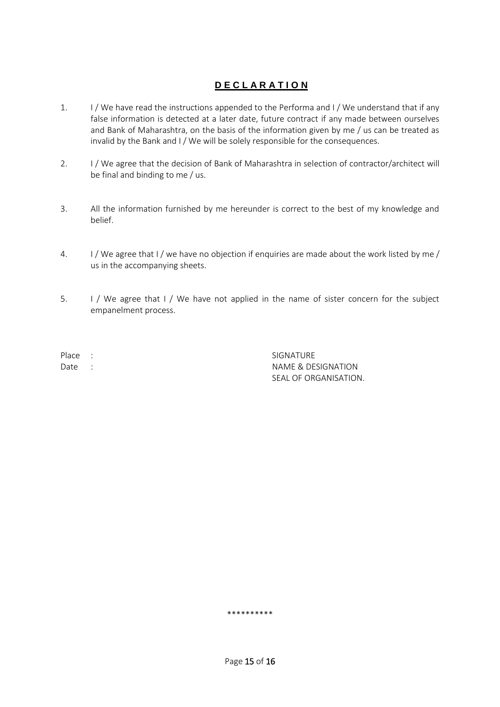## **D E C L A R A T I O N**

- 1. I / We have read the instructions appended to the Performa and I / We understand that if any false information is detected at a later date, future contract if any made between ourselves and Bank of Maharashtra, on the basis of the information given by me / us can be treated as invalid by the Bank and I / We will be solely responsible for the consequences.
- 2. I / We agree that the decision of Bank of Maharashtra in selection of contractor/architect will be final and binding to me / us.
- 3. All the information furnished by me hereunder is correct to the best of my knowledge and belief.
- 4. I / We agree that I / we have no objection if enquiries are made about the work listed by me / us in the accompanying sheets.
- 5. I / We agree that I / We have not applied in the name of sister concern for the subject empanelment process.

Place : SIGNATURE Date : NAME & DESIGNATION SEAL OF ORGANISATION.

\*\*\*\*\*\*\*\*\*\*